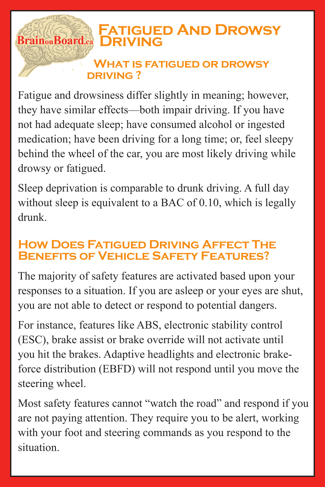## **Fatigued And Drowsy Brain<sub>on</sub>Board.ca DRIVING**

## **What is fatigued or drowsy driving ?**

Fatigue and drowsiness differ slightly in meaning; however, they have similar effects—both impair driving. If you have not had adequate sleep; have consumed alcohol or ingested medication; have been driving for a long time; or, feel sleepy behind the wheel of the car, you are most likely driving while drowsy or fatigued.

Sleep deprivation is comparable to drunk driving. A full day without sleep is equivalent to a BAC of 0.10, which is legally drunk.

## **How Does Fatigued Driving Affect The Benefits of Vehicle Safety Features?**

The majority of safety features are activated based upon your responses to a situation. If you are asleep or your eyes are shut, you are not able to detect or respond to potential dangers.

For instance, features like ABS, electronic stability control (ESC), brake assist or brake override will not activate until you hit the brakes. Adaptive headlights and electronic brakeforce distribution (EBFD) will not respond until you move the steering wheel.

Most safety features cannot "watch the road" and respond if you are not paying attention. They require you to be alert, working with your foot and steering commands as you respond to the situation.